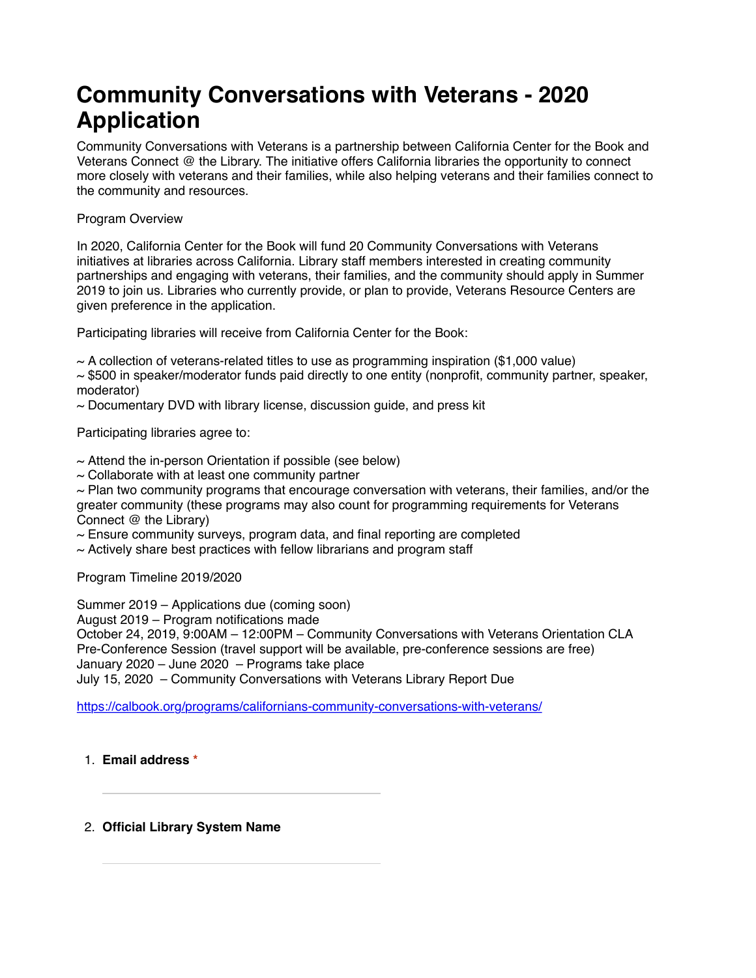# **Community Conversations with Veterans - 2020 Application**

Community Conversations with Veterans is a partnership between California Center for the Book and Veterans Connect @ the Library. The initiative offers California libraries the opportunity to connect more closely with veterans and their families, while also helping veterans and their families connect to the community and resources.

# Program Overview

In 2020, California Center for the Book will fund 20 Community Conversations with Veterans initiatives at libraries across California. Library staff members interested in creating community partnerships and engaging with veterans, their families, and the community should apply in Summer 2019 to join us. Libraries who currently provide, or plan to provide, Veterans Resource Centers are given preference in the application.

Participating libraries will receive from California Center for the Book:

 $\sim$  A collection of veterans-related titles to use as programming inspiration (\$1,000 value)

 $\sim$  \$500 in speaker/moderator funds paid directly to one entity (nonprofit, community partner, speaker, moderator)

 $\sim$  Documentary DVD with library license, discussion guide, and press kit

Participating libraries agree to:

 $\sim$  Attend the in-person Orientation if possible (see below)

 $\sim$  Collaborate with at least one community partner

 $\sim$  Plan two community programs that encourage conversation with veterans, their families, and/or the greater community (these programs may also count for programming requirements for Veterans Connect @ the Library)

 $\sim$  Ensure community surveys, program data, and final reporting are completed

 $\sim$  Actively share best practices with fellow librarians and program staff

Program Timeline 2019/2020

Summer 2019 – Applications due (coming soon)

August 2019 – Program notifications made

October 24, 2019, 9:00AM – 12:00PM – Community Conversations with Veterans Orientation CLA Pre-Conference Session (travel support will be available, pre-conference sessions are free) January 2020 – June 2020 – Programs take place July 15, 2020 – Community Conversations with Veterans Library Report Due

[https://calbook.org/programs/californians-community-conversations-with-veterans/](https://www.google.com/url?q=https://calbook.org/programs/californians-community-conversations-with-veterans/&sa=D&ust=1563836964224000&usg=AFQjCNFad0n02tMFfjbTyuChwUD4odqfvQ)

# 1. **Email address \***

2. **Official Library System Name**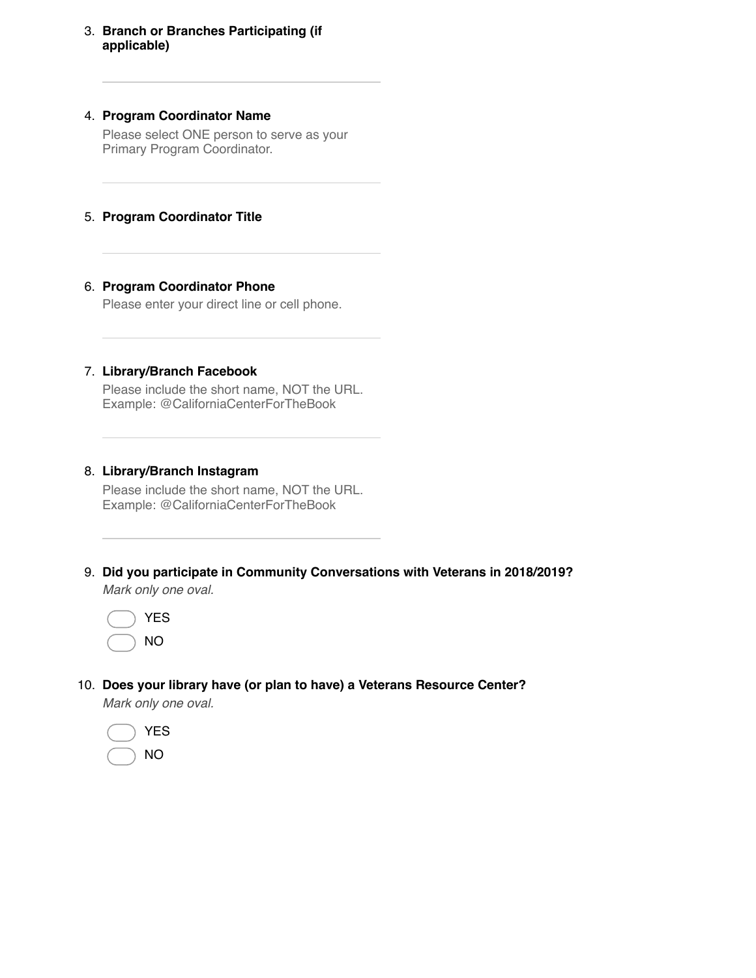# 3. **Branch or Branches Participating (if applicable)**

# 4. **Program Coordinator Name**

Please select ONE person to serve as your Primary Program Coordinator.

# 5. **Program Coordinator Title**

# 6. **Program Coordinator Phone**

Please enter your direct line or cell phone.

# 7. **Library/Branch Facebook**

Please include the short name, NOT the URL. Example: @CaliforniaCenterForTheBook

# 8. **Library/Branch Instagram**

Please include the short name, NOT the URL. Example: @CaliforniaCenterForTheBook

9. **Did you participate in Community Conversations with Veterans in 2018/2019?** *Mark only one oval.*



10. **Does your library have (or plan to have) a Veterans Resource Center?**

*Mark only one oval.*

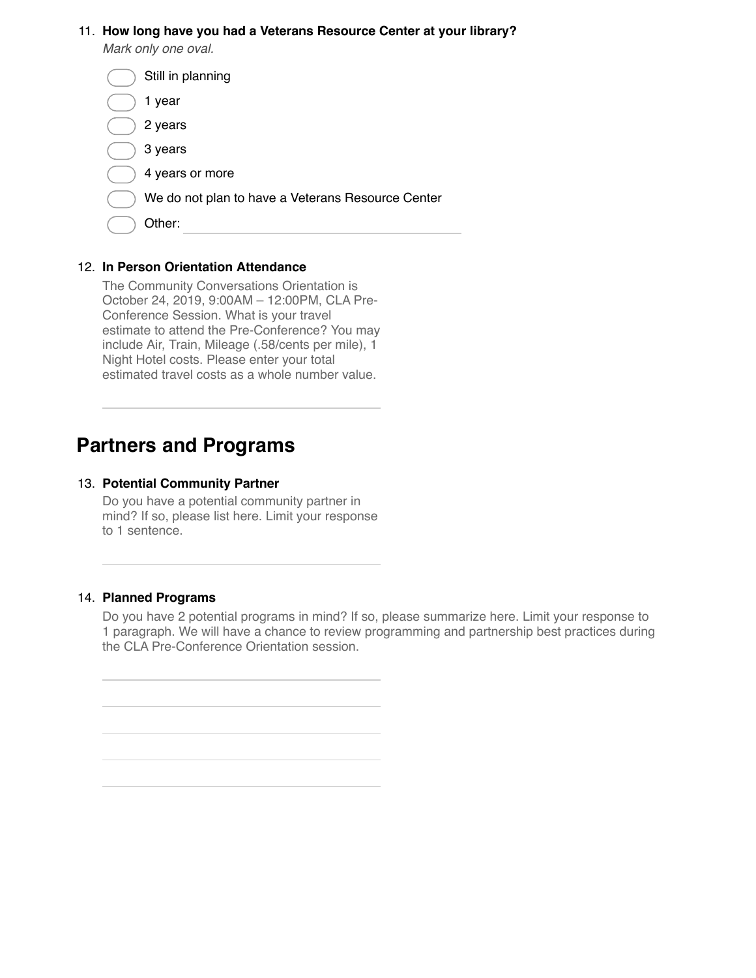#### 11. **How long have you had a Veterans Resource Center at your library?**

*Mark only one oval.*

| Still in planning                                 |
|---------------------------------------------------|
| year<br>1                                         |
| 2 years                                           |
| 3 years                                           |
| 4 years or more                                   |
| We do not plan to have a Veterans Resource Center |
| Other:                                            |
|                                                   |

# 12. **In Person Orientation Attendance**

The Community Conversations Orientation is October 24, 2019, 9:00AM – 12:00PM, CLA Pre-Conference Session. What is your travel estimate to attend the Pre-Conference? You may include Air, Train, Mileage (.58/cents per mile), 1 Night Hotel costs. Please enter your total estimated travel costs as a whole number value.

# **Partners and Programs**

### 13. **Potential Community Partner**

Do you have a potential community partner in mind? If so, please list here. Limit your response to 1 sentence.

# 14. **Planned Programs**

Do you have 2 potential programs in mind? If so, please summarize here. Limit your response to 1 paragraph. We will have a chance to review programming and partnership best practices during the CLA Pre-Conference Orientation session.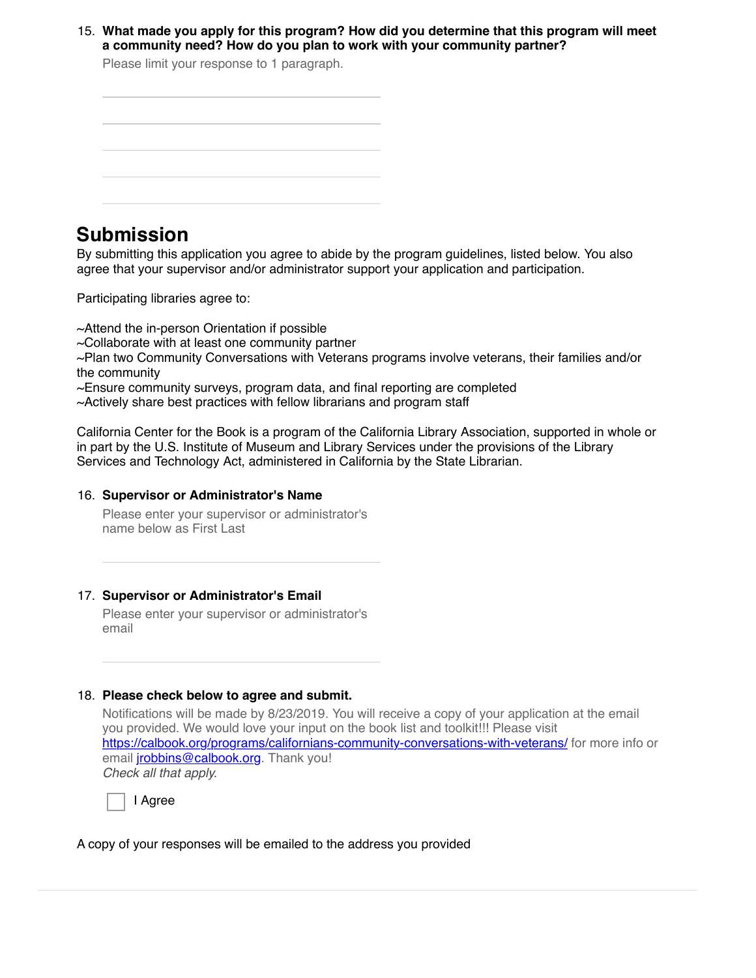15. **What made you apply for this program? How did you determine that this program will meet a community need? How do you plan to work with your community partner?**

Please limit your response to 1 paragraph.

| the control of the control of the                                               |  | the control of the control of the control of the control of the control of the control of the control of the control of the control of the control of the control of the control of the control of the control of the control |                                                 |
|---------------------------------------------------------------------------------|--|-------------------------------------------------------------------------------------------------------------------------------------------------------------------------------------------------------------------------------|-------------------------------------------------|
|                                                                                 |  |                                                                                                                                                                                                                               |                                                 |
|                                                                                 |  |                                                                                                                                                                                                                               | the contract of the contract of the contract of |
|                                                                                 |  |                                                                                                                                                                                                                               |                                                 |
|                                                                                 |  |                                                                                                                                                                                                                               | the control of the control of the control of    |
|                                                                                 |  |                                                                                                                                                                                                                               |                                                 |
| the contract of the contract of the contract of the contract of the contract of |  | the contract of the contract of the contract of the contract of the contract of the contract of the contract of                                                                                                               |                                                 |

# **Submission**

By submitting this application you agree to abide by the program guidelines, listed below. You also agree that your supervisor and/or administrator support your application and participation.

Participating libraries agree to:

~Attend the in-person Orientation if possible  $\sim$ Collaborate with at least one community partner ~Plan two Community Conversations with Veterans programs involve veterans, their families and/or the community  $\sim$ Ensure community surveys, program data, and final reporting are completed  $\sim$ Actively share best practices with fellow librarians and program staff

California Center for the Book is a program of the California Library Association, supported in whole or in part by the U.S. Institute of Museum and Library Services under the provisions of the Library Services and Technology Act, administered in California by the State Librarian.

# 16. **Supervisor or Administrator's Name**

Please enter your supervisor or administrator's name below as First Last

# 17. **Supervisor or Administrator's Email**

Please enter your supervisor or administrator's email

# 18. **Please check below to agree and submit.**

Notifications will be made by 8/23/2019. You will receive a copy of your application at the email you provided. We would love your input on the book list and toolkit!!! Please visit [https://calbook.org/programs/californians-community-conversations-with-veterans/](https://www.google.com/url?q=https://calbook.org/programs/californians-community-conversations-with-veterans/&sa=D&ust=1563836964231000&usg=AFQjCNFlfUL2gUQKdtKHsTDaIpBYcfVoRw) for more info or email *[jrobbins@calbook.org](mailto:jrobbins@calbook.org)*. Thank you! *Check all that apply.*

I Agree

A copy of your responses will be emailed to the address you provided